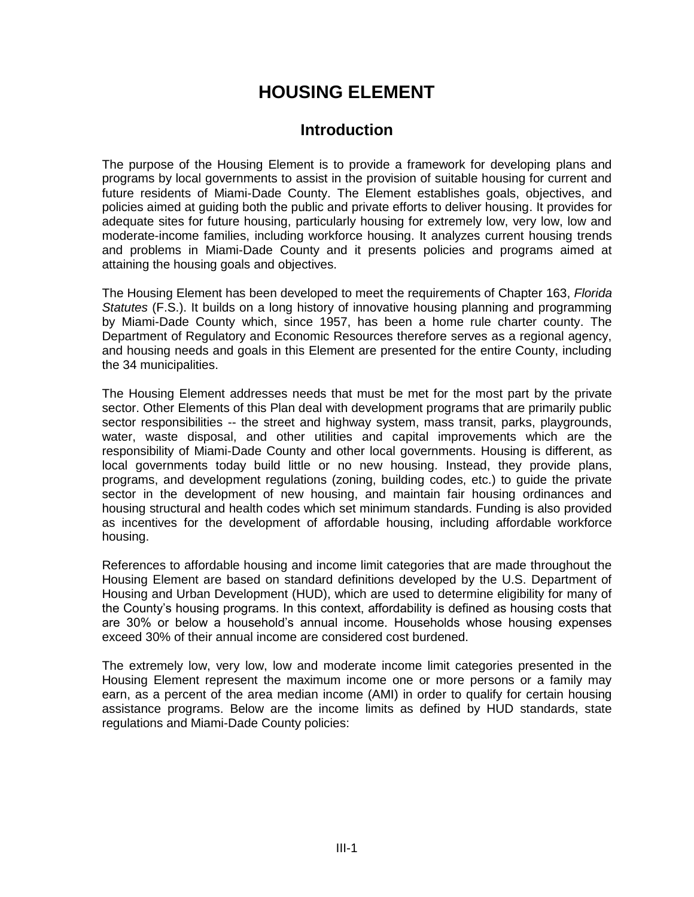# **HOUSING ELEMENT**

# **Introduction**

The purpose of the Housing Element is to provide a framework for developing plans and programs by local governments to assist in the provision of suitable housing for current and future residents of Miami-Dade County. The Element establishes goals, objectives, and policies aimed at guiding both the public and private efforts to deliver housing. It provides for adequate sites for future housing, particularly housing for extremely low, very low, low and moderate-income families, including workforce housing. It analyzes current housing trends and problems in Miami-Dade County and it presents policies and programs aimed at attaining the housing goals and objectives.

The Housing Element has been developed to meet the requirements of Chapter 163, *Florida Statutes* (F.S.). It builds on a long history of innovative housing planning and programming by Miami-Dade County which, since 1957, has been a home rule charter county. The Department of Regulatory and Economic Resources therefore serves as a regional agency, and housing needs and goals in this Element are presented for the entire County, including the 34 municipalities.

The Housing Element addresses needs that must be met for the most part by the private sector. Other Elements of this Plan deal with development programs that are primarily public sector responsibilities -- the street and highway system, mass transit, parks, playgrounds, water, waste disposal, and other utilities and capital improvements which are the responsibility of Miami-Dade County and other local governments. Housing is different, as local governments today build little or no new housing. Instead, they provide plans, programs, and development regulations (zoning, building codes, etc.) to guide the private sector in the development of new housing, and maintain fair housing ordinances and housing structural and health codes which set minimum standards. Funding is also provided as incentives for the development of affordable housing, including affordable workforce housing.

References to affordable housing and income limit categories that are made throughout the Housing Element are based on standard definitions developed by the U.S. Department of Housing and Urban Development (HUD), which are used to determine eligibility for many of the County's housing programs. In this context, affordability is defined as housing costs that are 30% or below a household's annual income. Households whose housing expenses exceed 30% of their annual income are considered cost burdened.

The extremely low, very low, low and moderate income limit categories presented in the Housing Element represent the maximum income one or more persons or a family may earn, as a percent of the area median income (AMI) in order to qualify for certain housing assistance programs. Below are the income limits as defined by HUD standards, state regulations and Miami-Dade County policies: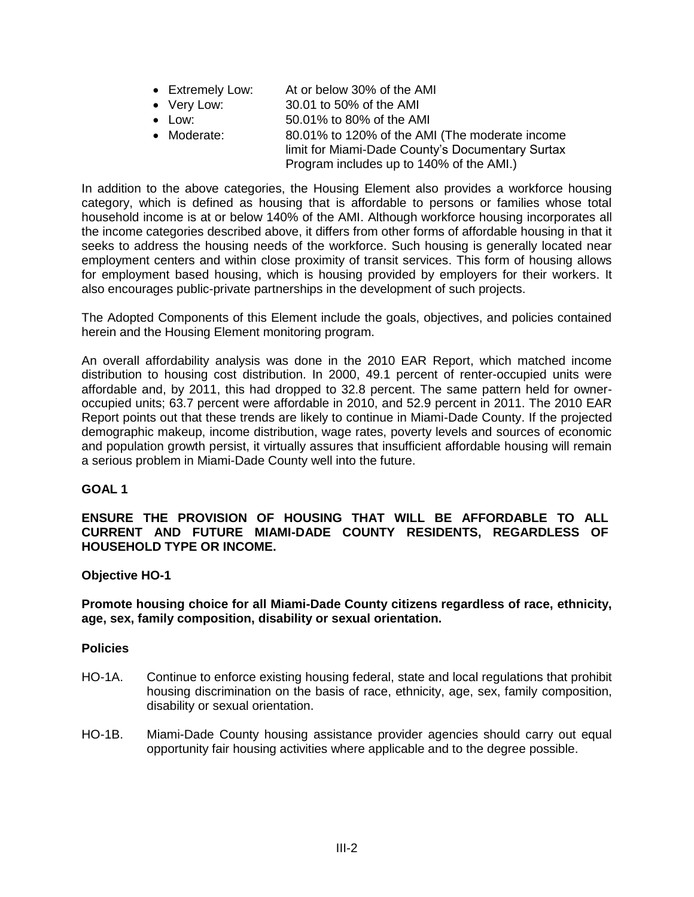- Extremely Low: At or below 30% of the AMI
- Very Low: 30.01 to 50% of the AMI
- Low: 50.01% to 80% of the AMI
- Moderate: 80.01% to 120% of the AMI (The moderate income limit for Miami-Dade County's Documentary Surtax
	- Program includes up to 140% of the AMI.)

In addition to the above categories, the Housing Element also provides a workforce housing category, which is defined as housing that is affordable to persons or families whose total household income is at or below 140% of the AMI. Although workforce housing incorporates all the income categories described above, it differs from other forms of affordable housing in that it seeks to address the housing needs of the workforce. Such housing is generally located near employment centers and within close proximity of transit services. This form of housing allows for employment based housing, which is housing provided by employers for their workers. It also encourages public-private partnerships in the development of such projects.

The Adopted Components of this Element include the goals, objectives, and policies contained herein and the Housing Element monitoring program.

An overall affordability analysis was done in the 2010 EAR Report, which matched income distribution to housing cost distribution. In 2000, 49.1 percent of renter-occupied units were affordable and, by 2011, this had dropped to 32.8 percent. The same pattern held for owneroccupied units; 63.7 percent were affordable in 2010, and 52.9 percent in 2011. The 2010 EAR Report points out that these trends are likely to continue in Miami-Dade County. If the projected demographic makeup, income distribution, wage rates, poverty levels and sources of economic and population growth persist, it virtually assures that insufficient affordable housing will remain a serious problem in Miami-Dade County well into the future.

# **GOAL 1**

# **ENSURE THE PROVISION OF HOUSING THAT WILL BE AFFORDABLE TO ALL CURRENT AND FUTURE MIAMI-DADE COUNTY RESIDENTS, REGARDLESS OF HOUSEHOLD TYPE OR INCOME.**

# **Objective HO-1**

# **Promote housing choice for all Miami-Dade County citizens regardless of race, ethnicity, age, sex, family composition, disability or sexual orientation.**

- HO-1A. Continue to enforce existing housing federal, state and local regulations that prohibit housing discrimination on the basis of race, ethnicity, age, sex, family composition, disability or sexual orientation.
- HO-1B. Miami-Dade County housing assistance provider agencies should carry out equal opportunity fair housing activities where applicable and to the degree possible.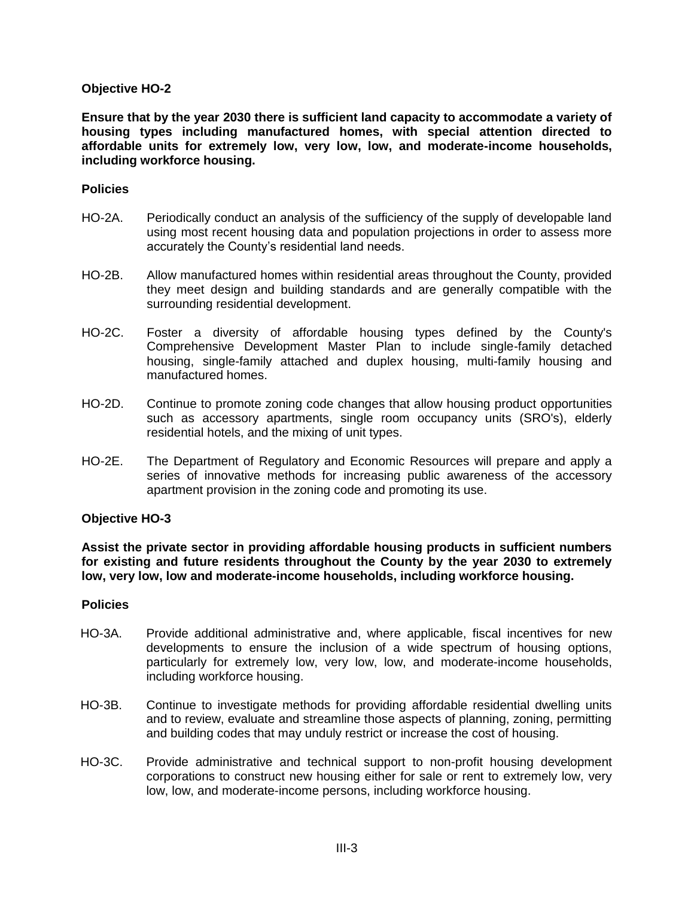**Ensure that by the year 2030 there is sufficient land capacity to accommodate a variety of housing types including manufactured homes, with special attention directed to affordable units for extremely low, very low, low, and moderate-income households, including workforce housing.**

#### **Policies**

- HO-2A. Periodically conduct an analysis of the sufficiency of the supply of developable land using most recent housing data and population projections in order to assess more accurately the County's residential land needs.
- HO-2B. Allow manufactured homes within residential areas throughout the County, provided they meet design and building standards and are generally compatible with the surrounding residential development.
- HO-2C. Foster a diversity of affordable housing types defined by the County's Comprehensive Development Master Plan to include single-family detached housing, single-family attached and duplex housing, multi-family housing and manufactured homes.
- HO-2D. Continue to promote zoning code changes that allow housing product opportunities such as accessory apartments, single room occupancy units (SRO's), elderly residential hotels, and the mixing of unit types.
- HO-2E. The Department of Regulatory and Economic Resources will prepare and apply a series of innovative methods for increasing public awareness of the accessory apartment provision in the zoning code and promoting its use.

#### **Objective HO-3**

**Assist the private sector in providing affordable housing products in sufficient numbers for existing and future residents throughout the County by the year 2030 to extremely low, very low, low and moderate-income households, including workforce housing.**

- HO-3A. Provide additional administrative and, where applicable, fiscal incentives for new developments to ensure the inclusion of a wide spectrum of housing options, particularly for extremely low, very low, low, and moderate-income households, including workforce housing.
- HO-3B. Continue to investigate methods for providing affordable residential dwelling units and to review, evaluate and streamline those aspects of planning, zoning, permitting and building codes that may unduly restrict or increase the cost of housing.
- HO-3C. Provide administrative and technical support to non-profit housing development corporations to construct new housing either for sale or rent to extremely low, very low, low, and moderate-income persons, including workforce housing.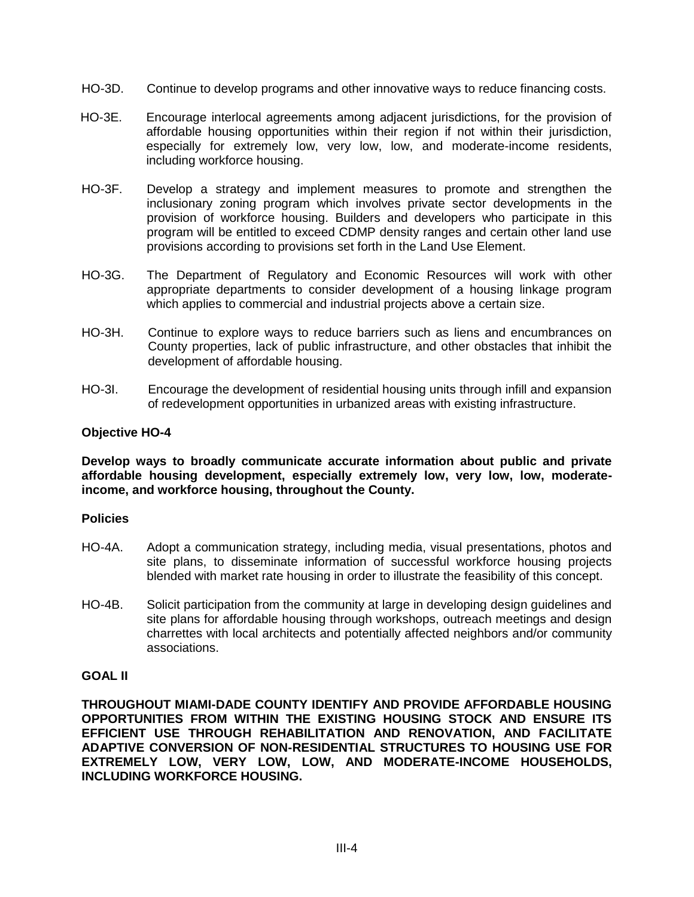- HO-3D. Continue to develop programs and other innovative ways to reduce financing costs.
- HO-3E. Encourage interlocal agreements among adjacent jurisdictions, for the provision of affordable housing opportunities within their region if not within their jurisdiction, especially for extremely low, very low, low, and moderate-income residents, including workforce housing.
- HO-3F. Develop a strategy and implement measures to promote and strengthen the inclusionary zoning program which involves private sector developments in the provision of workforce housing. Builders and developers who participate in this program will be entitled to exceed CDMP density ranges and certain other land use provisions according to provisions set forth in the Land Use Element.
- HO-3G. The Department of Regulatory and Economic Resources will work with other appropriate departments to consider development of a housing linkage program which applies to commercial and industrial projects above a certain size.
- HO-3H. Continue to explore ways to reduce barriers such as liens and encumbrances on County properties, lack of public infrastructure, and other obstacles that inhibit the development of affordable housing.
- HO-3I. Encourage the development of residential housing units through infill and expansion of redevelopment opportunities in urbanized areas with existing infrastructure.

**Develop ways to broadly communicate accurate information about public and private affordable housing development, especially extremely low, very low, low, moderateincome, and workforce housing, throughout the County.** 

#### **Policies**

- HO-4A. Adopt a communication strategy, including media, visual presentations, photos and site plans, to disseminate information of successful workforce housing projects blended with market rate housing in order to illustrate the feasibility of this concept.
- HO-4B. Solicit participation from the community at large in developing design guidelines and site plans for affordable housing through workshops, outreach meetings and design charrettes with local architects and potentially affected neighbors and/or community associations.

# **GOAL II**

**THROUGHOUT MIAMI-DADE COUNTY IDENTIFY AND PROVIDE AFFORDABLE HOUSING OPPORTUNITIES FROM WITHIN THE EXISTING HOUSING STOCK AND ENSURE ITS EFFICIENT USE THROUGH REHABILITATION AND RENOVATION, AND FACILITATE ADAPTIVE CONVERSION OF NON-RESIDENTIAL STRUCTURES TO HOUSING USE FOR EXTREMELY LOW, VERY LOW, LOW, AND MODERATE-INCOME HOUSEHOLDS, INCLUDING WORKFORCE HOUSING.**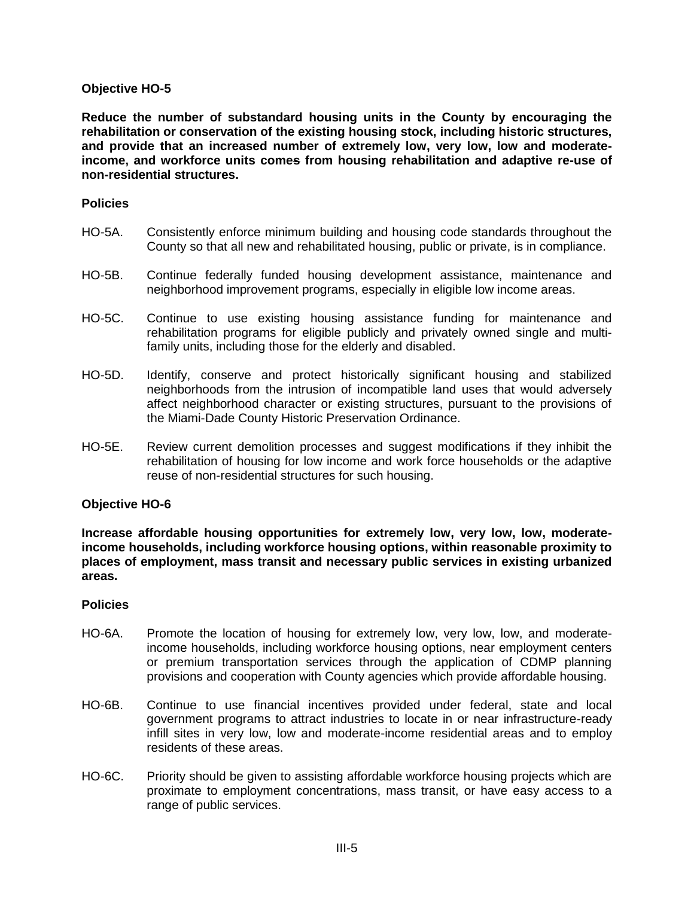**Reduce the number of substandard housing units in the County by encouraging the rehabilitation or conservation of the existing housing stock, including historic structures, and provide that an increased number of extremely low, very low, low and moderateincome, and workforce units comes from housing rehabilitation and adaptive re-use of non-residential structures.**

#### **Policies**

- HO-5A. Consistently enforce minimum building and housing code standards throughout the County so that all new and rehabilitated housing, public or private, is in compliance.
- HO-5B. Continue federally funded housing development assistance, maintenance and neighborhood improvement programs, especially in eligible low income areas.
- HO-5C. Continue to use existing housing assistance funding for maintenance and rehabilitation programs for eligible publicly and privately owned single and multifamily units, including those for the elderly and disabled.
- HO-5D. Identify, conserve and protect historically significant housing and stabilized neighborhoods from the intrusion of incompatible land uses that would adversely affect neighborhood character or existing structures, pursuant to the provisions of the Miami-Dade County Historic Preservation Ordinance.
- HO-5E. Review current demolition processes and suggest modifications if they inhibit the rehabilitation of housing for low income and work force households or the adaptive reuse of non-residential structures for such housing.

#### **Objective HO-6**

**Increase affordable housing opportunities for extremely low, very low, low, moderateincome households, including workforce housing options, within reasonable proximity to places of employment, mass transit and necessary public services in existing urbanized areas.**

- HO-6A. Promote the location of housing for extremely low, very low, low, and moderateincome households, including workforce housing options, near employment centers or premium transportation services through the application of CDMP planning provisions and cooperation with County agencies which provide affordable housing.
- HO-6B. Continue to use financial incentives provided under federal, state and local government programs to attract industries to locate in or near infrastructure-ready infill sites in very low, low and moderate-income residential areas and to employ residents of these areas.
- HO-6C. Priority should be given to assisting affordable workforce housing projects which are proximate to employment concentrations, mass transit, or have easy access to a range of public services.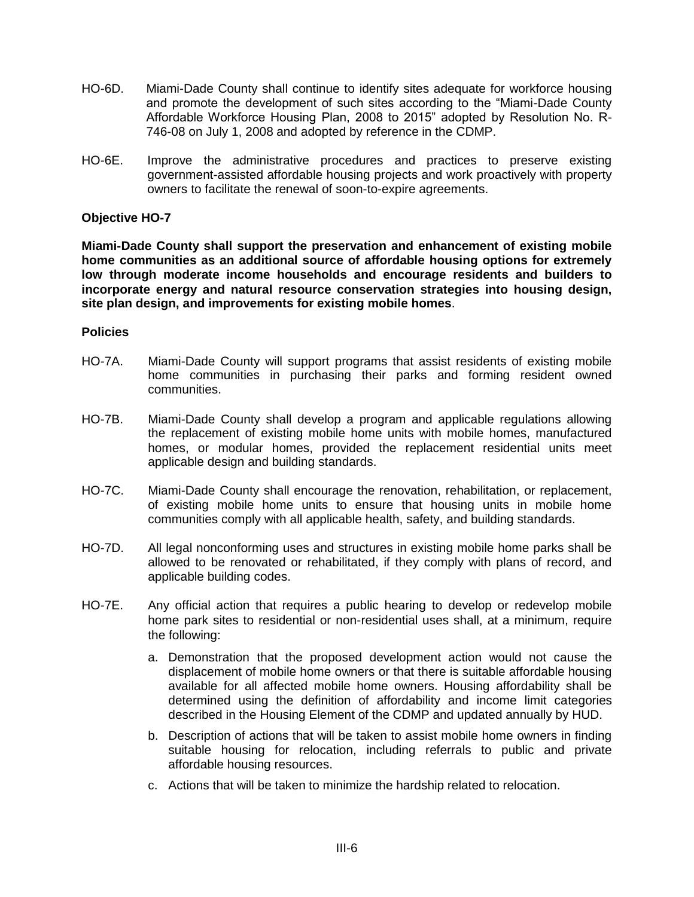- HO-6D. Miami-Dade County shall continue to identify sites adequate for workforce housing and promote the development of such sites according to the "Miami-Dade County Affordable Workforce Housing Plan, 2008 to 2015" adopted by Resolution No. R-746-08 on July 1, 2008 and adopted by reference in the CDMP.
- HO-6E. Improve the administrative procedures and practices to preserve existing government-assisted affordable housing projects and work proactively with property owners to facilitate the renewal of soon-to-expire agreements.

**Miami-Dade County shall support the preservation and enhancement of existing mobile home communities as an additional source of affordable housing options for extremely low through moderate income households and encourage residents and builders to incorporate energy and natural resource conservation strategies into housing design, site plan design, and improvements for existing mobile homes**.

- HO-7A. Miami-Dade County will support programs that assist residents of existing mobile home communities in purchasing their parks and forming resident owned communities.
- HO-7B. Miami-Dade County shall develop a program and applicable regulations allowing the replacement of existing mobile home units with mobile homes, manufactured homes, or modular homes, provided the replacement residential units meet applicable design and building standards.
- HO-7C. Miami-Dade County shall encourage the renovation, rehabilitation, or replacement, of existing mobile home units to ensure that housing units in mobile home communities comply with all applicable health, safety, and building standards.
- HO-7D. All legal nonconforming uses and structures in existing mobile home parks shall be allowed to be renovated or rehabilitated, if they comply with plans of record, and applicable building codes.
- HO-7E. Any official action that requires a public hearing to develop or redevelop mobile home park sites to residential or non-residential uses shall, at a minimum, require the following:
	- a. Demonstration that the proposed development action would not cause the displacement of mobile home owners or that there is suitable affordable housing available for all affected mobile home owners. Housing affordability shall be determined using the definition of affordability and income limit categories described in the Housing Element of the CDMP and updated annually by HUD.
	- b. Description of actions that will be taken to assist mobile home owners in finding suitable housing for relocation, including referrals to public and private affordable housing resources.
	- c. Actions that will be taken to minimize the hardship related to relocation.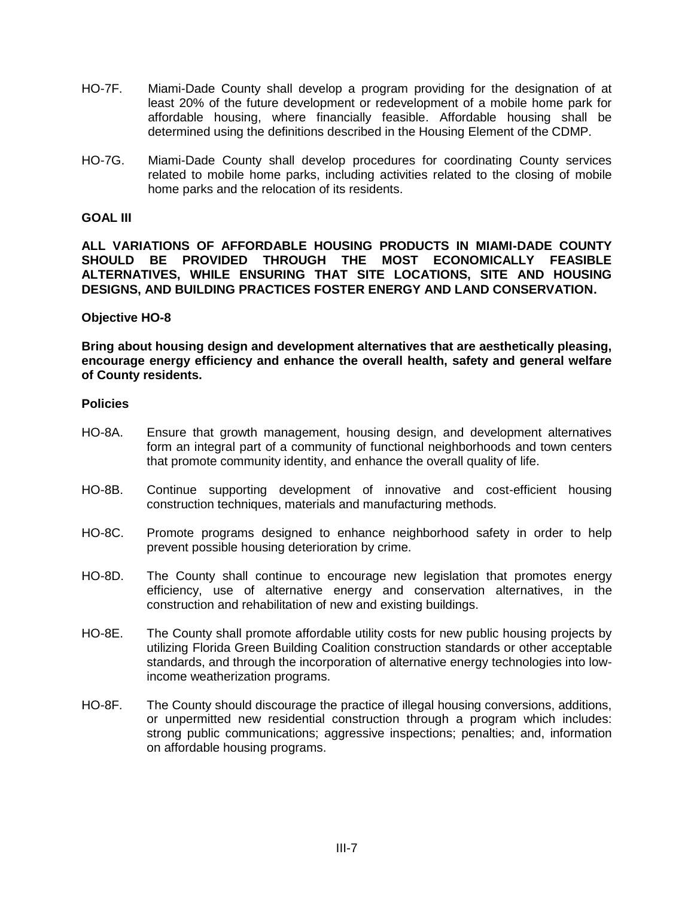- HO-7F. Miami-Dade County shall develop a program providing for the designation of at least 20% of the future development or redevelopment of a mobile home park for affordable housing, where financially feasible. Affordable housing shall be determined using the definitions described in the Housing Element of the CDMP.
- HO-7G. Miami-Dade County shall develop procedures for coordinating County services related to mobile home parks, including activities related to the closing of mobile home parks and the relocation of its residents.

#### **GOAL III**

**ALL VARIATIONS OF AFFORDABLE HOUSING PRODUCTS IN MIAMI-DADE COUNTY SHOULD BE PROVIDED THROUGH THE MOST ECONOMICALLY FEASIBLE ALTERNATIVES, WHILE ENSURING THAT SITE LOCATIONS, SITE AND HOUSING DESIGNS, AND BUILDING PRACTICES FOSTER ENERGY AND LAND CONSERVATION.** 

# **Objective HO-8**

**Bring about housing design and development alternatives that are aesthetically pleasing, encourage energy efficiency and enhance the overall health, safety and general welfare of County residents.** 

- HO-8A. Ensure that growth management, housing design, and development alternatives form an integral part of a community of functional neighborhoods and town centers that promote community identity, and enhance the overall quality of life.
- HO-8B. Continue supporting development of innovative and cost-efficient housing construction techniques, materials and manufacturing methods.
- HO-8C. Promote programs designed to enhance neighborhood safety in order to help prevent possible housing deterioration by crime.
- HO-8D. The County shall continue to encourage new legislation that promotes energy efficiency, use of alternative energy and conservation alternatives, in the construction and rehabilitation of new and existing buildings.
- HO-8E. The County shall promote affordable utility costs for new public housing projects by utilizing Florida Green Building Coalition construction standards or other acceptable standards, and through the incorporation of alternative energy technologies into lowincome weatherization programs.
- HO-8F. The County should discourage the practice of illegal housing conversions, additions, or unpermitted new residential construction through a program which includes: strong public communications; aggressive inspections; penalties; and, information on affordable housing programs.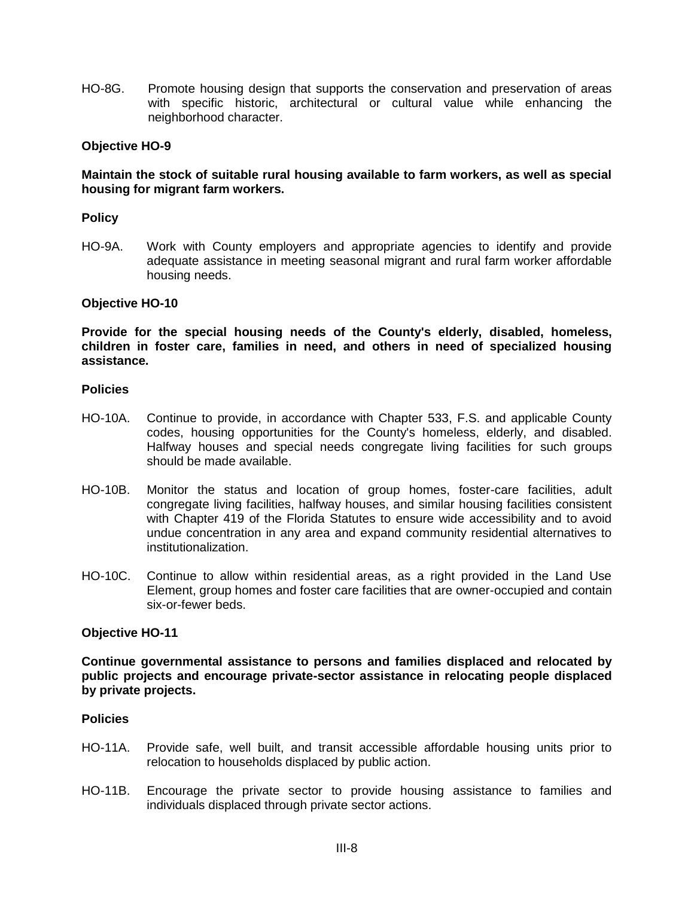HO-8G. Promote housing design that supports the conservation and preservation of areas with specific historic, architectural or cultural value while enhancing the neighborhood character.

# **Objective HO-9**

#### **Maintain the stock of suitable rural housing available to farm workers, as well as special housing for migrant farm workers.**

#### **Policy**

HO-9A. Work with County employers and appropriate agencies to identify and provide adequate assistance in meeting seasonal migrant and rural farm worker affordable housing needs.

# **Objective HO-10**

**Provide for the special housing needs of the County's elderly, disabled, homeless, children in foster care, families in need, and others in need of specialized housing assistance.**

#### **Policies**

- HO-10A. Continue to provide, in accordance with Chapter 533, F.S. and applicable County codes, housing opportunities for the County's homeless, elderly, and disabled. Halfway houses and special needs congregate living facilities for such groups should be made available.
- HO-10B. Monitor the status and location of group homes, foster-care facilities, adult congregate living facilities, halfway houses, and similar housing facilities consistent with Chapter 419 of the Florida Statutes to ensure wide accessibility and to avoid undue concentration in any area and expand community residential alternatives to institutionalization.
- HO-10C. Continue to allow within residential areas, as a right provided in the Land Use Element, group homes and foster care facilities that are owner-occupied and contain six-or-fewer beds.

#### **Objective HO-11**

**Continue governmental assistance to persons and families displaced and relocated by public projects and encourage private-sector assistance in relocating people displaced by private projects.** 

- HO-11A. Provide safe, well built, and transit accessible affordable housing units prior to relocation to households displaced by public action.
- HO-11B. Encourage the private sector to provide housing assistance to families and individuals displaced through private sector actions.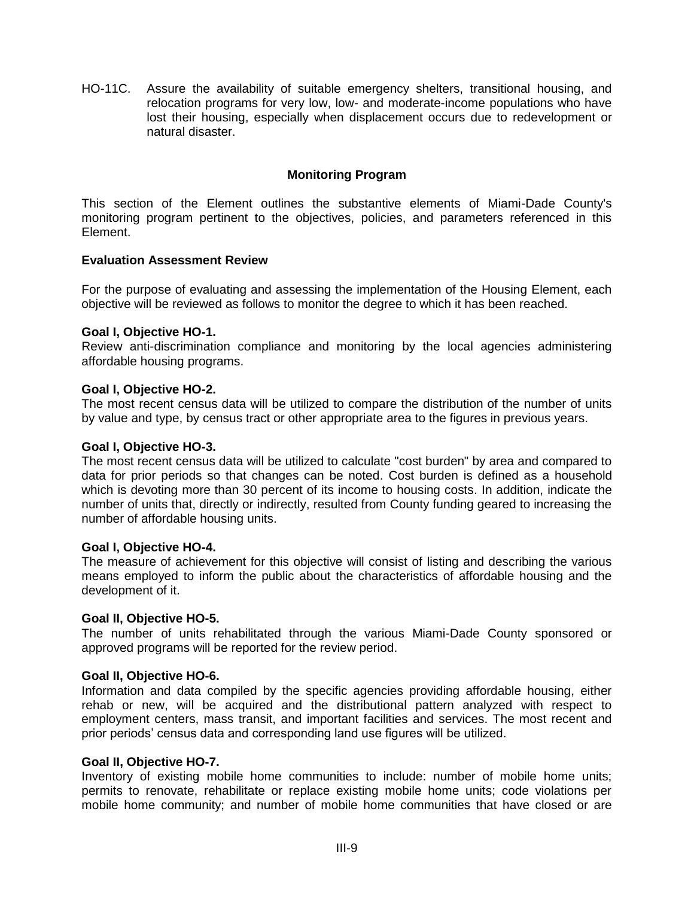HO-11C. Assure the availability of suitable emergency shelters, transitional housing, and relocation programs for very low, low- and moderate-income populations who have lost their housing, especially when displacement occurs due to redevelopment or natural disaster.

# **Monitoring Program**

This section of the Element outlines the substantive elements of Miami-Dade County's monitoring program pertinent to the objectives, policies, and parameters referenced in this Element.

# **Evaluation Assessment Review**

For the purpose of evaluating and assessing the implementation of the Housing Element, each objective will be reviewed as follows to monitor the degree to which it has been reached.

# **Goal I, Objective HO-1.**

Review anti-discrimination compliance and monitoring by the local agencies administering affordable housing programs.

# **Goal I, Objective HO-2.**

The most recent census data will be utilized to compare the distribution of the number of units by value and type, by census tract or other appropriate area to the figures in previous years.

#### **Goal I, Objective HO-3.**

The most recent census data will be utilized to calculate "cost burden" by area and compared to data for prior periods so that changes can be noted. Cost burden is defined as a household which is devoting more than 30 percent of its income to housing costs. In addition, indicate the number of units that, directly or indirectly, resulted from County funding geared to increasing the number of affordable housing units.

#### **Goal I, Objective HO-4.**

The measure of achievement for this objective will consist of listing and describing the various means employed to inform the public about the characteristics of affordable housing and the development of it.

#### **Goal II, Objective HO-5.**

The number of units rehabilitated through the various Miami-Dade County sponsored or approved programs will be reported for the review period.

#### **Goal II, Objective HO-6.**

Information and data compiled by the specific agencies providing affordable housing, either rehab or new, will be acquired and the distributional pattern analyzed with respect to employment centers, mass transit, and important facilities and services. The most recent and prior periods' census data and corresponding land use figures will be utilized.

#### **Goal II, Objective HO-7.**

Inventory of existing mobile home communities to include: number of mobile home units; permits to renovate, rehabilitate or replace existing mobile home units; code violations per mobile home community; and number of mobile home communities that have closed or are